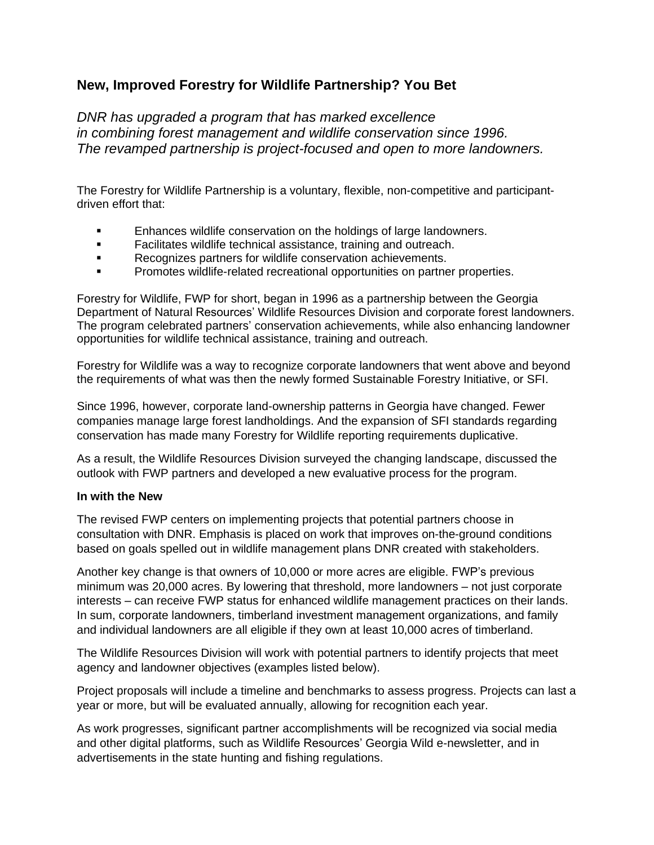## **New, Improved Forestry for Wildlife Partnership? You Bet**

*DNR has upgraded a program that has marked excellence in combining forest management and wildlife conservation since 1996. The revamped partnership is project-focused and open to more landowners.*

The Forestry for Wildlife Partnership is a voluntary, flexible, non-competitive and participantdriven effort that:

- Enhances wildlife conservation on the holdings of large landowners.
- Facilitates wildlife technical assistance, training and outreach.
- Recognizes partners for wildlife conservation achievements.
- Promotes wildlife-related recreational opportunities on partner properties.

Forestry for Wildlife, FWP for short, began in 1996 as a partnership between the Georgia Department of Natural Resources' Wildlife Resources Division and corporate forest landowners. The program celebrated partners' conservation achievements, while also enhancing landowner opportunities for wildlife technical assistance, training and outreach.

Forestry for Wildlife was a way to recognize corporate landowners that went above and beyond the requirements of what was then the newly formed Sustainable Forestry Initiative, or SFI.

Since 1996, however, corporate land-ownership patterns in Georgia have changed. Fewer companies manage large forest landholdings. And the expansion of SFI standards regarding conservation has made many Forestry for Wildlife reporting requirements duplicative.

As a result, the Wildlife Resources Division surveyed the changing landscape, discussed the outlook with FWP partners and developed a new evaluative process for the program.

## **In with the New**

The revised FWP centers on implementing projects that potential partners choose in consultation with DNR. Emphasis is placed on work that improves on-the-ground conditions based on goals spelled out in wildlife management plans DNR created with stakeholders.

Another key change is that owners of 10,000 or more acres are eligible. FWP's previous minimum was 20,000 acres. By lowering that threshold, more landowners – not just corporate interests – can receive FWP status for enhanced wildlife management practices on their lands. In sum, corporate landowners, timberland investment management organizations, and family and individual landowners are all eligible if they own at least 10,000 acres of timberland.

The Wildlife Resources Division will work with potential partners to identify projects that meet agency and landowner objectives (examples listed below).

Project proposals will include a timeline and benchmarks to assess progress. Projects can last a year or more, but will be evaluated annually, allowing for recognition each year.

As work progresses, significant partner accomplishments will be recognized via social media and other digital platforms, such as Wildlife Resources' Georgia Wild e-newsletter, and in advertisements in the state hunting and fishing regulations.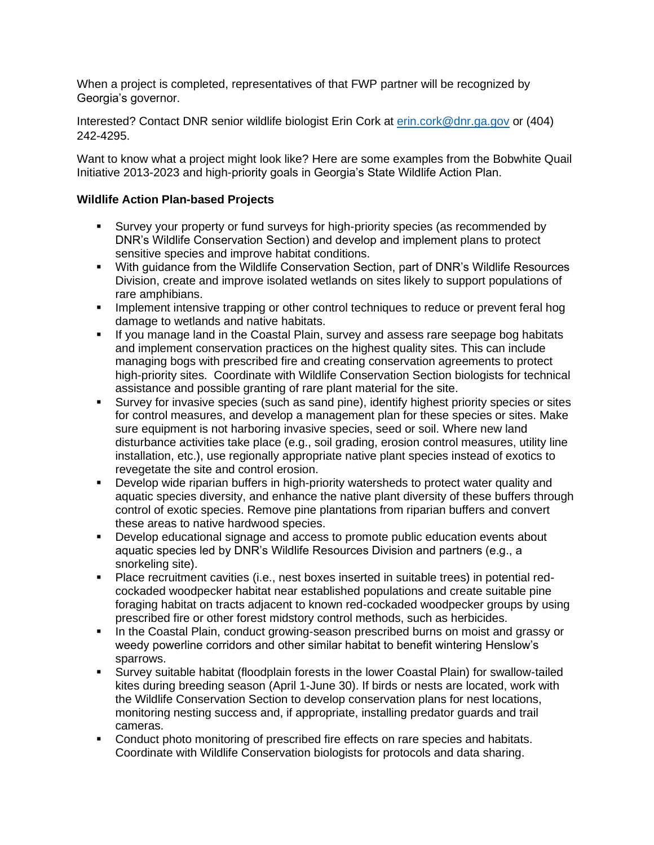When a project is completed, representatives of that FWP partner will be recognized by Georgia's governor.

Interested? Contact DNR senior wildlife biologist Erin Cork at [erin.cork@dnr.ga.gov](mailto:erin.cork@dnr.ga.gov) or (404) 242-4295.

Want to know what a project might look like? Here are some examples from the Bobwhite Quail Initiative 2013-2023 and high-priority goals in Georgia's State Wildlife Action Plan.

## **Wildlife Action Plan-based Projects**

- Survey your property or fund surveys for high-priority species (as recommended by DNR's Wildlife Conservation Section) and develop and implement plans to protect sensitive species and improve habitat conditions.
- With quidance from the Wildlife Conservation Section, part of DNR's Wildlife Resources Division, create and improve isolated wetlands on sites likely to support populations of rare amphibians.
- **•** Implement intensive trapping or other control techniques to reduce or prevent feral hog damage to wetlands and native habitats.
- **■** If you manage land in the Coastal Plain, survey and assess rare seepage bog habitats and implement conservation practices on the highest quality sites. This can include managing bogs with prescribed fire and creating conservation agreements to protect high-priority sites. Coordinate with Wildlife Conservation Section biologists for technical assistance and possible granting of rare plant material for the site.
- Survey for invasive species (such as sand pine), identify highest priority species or sites for control measures, and develop a management plan for these species or sites. Make sure equipment is not harboring invasive species, seed or soil. Where new land disturbance activities take place (e.g., soil grading, erosion control measures, utility line installation, etc.), use regionally appropriate native plant species instead of exotics to revegetate the site and control erosion.
- Develop wide riparian buffers in high-priority watersheds to protect water quality and aquatic species diversity, and enhance the native plant diversity of these buffers through control of exotic species. Remove pine plantations from riparian buffers and convert these areas to native hardwood species.
- Develop educational signage and access to promote public education events about aquatic species led by DNR's Wildlife Resources Division and partners (e.g., a snorkeling site).
- Place recruitment cavities (i.e., nest boxes inserted in suitable trees) in potential redcockaded woodpecker habitat near established populations and create suitable pine foraging habitat on tracts adjacent to known red-cockaded woodpecker groups by using prescribed fire or other forest midstory control methods, such as herbicides.
- In the Coastal Plain, conduct growing-season prescribed burns on moist and grassy or weedy powerline corridors and other similar habitat to benefit wintering Henslow's sparrows.
- Survey suitable habitat (floodplain forests in the lower Coastal Plain) for swallow-tailed kites during breeding season (April 1-June 30). If birds or nests are located, work with the Wildlife Conservation Section to develop conservation plans for nest locations, monitoring nesting success and, if appropriate, installing predator guards and trail cameras.
- Conduct photo monitoring of prescribed fire effects on rare species and habitats. Coordinate with Wildlife Conservation biologists for protocols and data sharing.